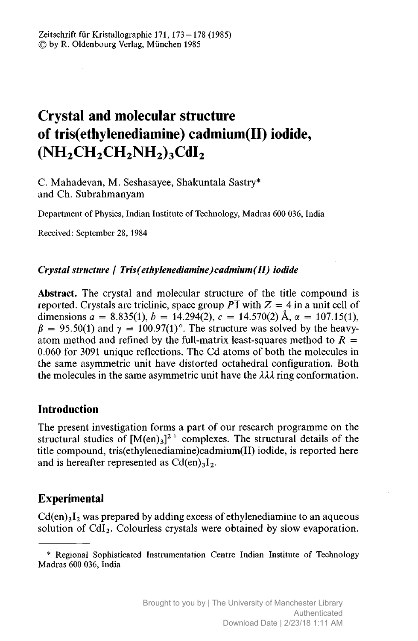# Crystal and molecular structure of tris(ethylenediamine) cadmium(II) iodide,  $(NH_2CH_2CH_2NH_2)_3CdI_2$

C. Mahadevan, M. Seshasayee, Shakuntala Sastry\* and Ch. Subrahmanyam

Department of Physics, Indian Institute of Technology, Madras 600 036, India

Received: September 28, 1984

### Crystal structure / Tris(ethylenediamine)cadmium(II) iodide

Abstract. The crystal and molecular structure of the title compound is reported. Crystals are triclinic, space group  $P\overline{1}$  with  $Z = 4$  in a unit cell of dimensions  $a = 8.835(1), b = 14.294(2), c = 14.570(2)$  Å,  $\alpha = 107.15(1)$ ,  $\beta = 95.50(1)$  and  $\gamma = 100.97(1)$ °. The structure was solved by the heavyatom method and refined by the full-matrix least-squares method to  $R =$ 0.060 for <sup>3091</sup> unique reflections. The Cd atoms of both the molecules in the same asymmetric unit have distorted octahedral configuration. Both the molecules in the same asymmetric unit have the  $\lambda\lambda\lambda$  ring conformation.

# Introduction

The present investigation forms <sup>a</sup> part of our research programme on the structural studies of  $[M(en)_3]^2$ <sup>+</sup> complexes. The structural details of the title compound, tris(ethylenediamine)cadmium(II) iodide, is reported here and is hereafter represented as  $Cd(en)_3I_2$ .

# Experimental

 $Cd(en)<sub>3</sub>I<sub>2</sub>$  was prepared by adding excess of ethylenediamine to an aqueous solution of  $CdI<sub>2</sub>$ . Colourless crystals were obtained by slow evaporation.

<sup>\*</sup> Regional Sophisticated Instrumentation Centre Indian Institute of Technology Madras 600 036, India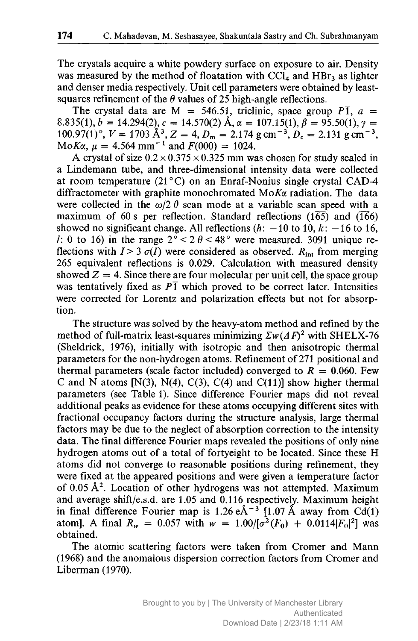The crystals acquire <sup>a</sup> white powdery surface on exposure to air. Density was measured by the method of floatation with  $\overline{CCL_4}$  and  $\overline{HBr_3}$  as lighter and denser media respectively. Unit cell parameters were obtained by leastsquares refinement of the  $\theta$  values of 25 high-angle reflections.

The crystal data are M = 546.51, triclinic, space group  $P\overline{1}$ ,  $a =$ 8.835(1), b = 14.294(2), c = 14.570(2) Å,  $\alpha = 107.15(1)$ ,  $\beta = 95.50(1)$ ,  $\gamma =$ 8.835(1), b = 14.294(2), c = 14.570(2) A,  $\alpha$  = 107.15(1),  $\beta$  = 95.50(1),  $\gamma$  = 100.97(1)°,  $V = 1703 \text{ Å}^3$ ,  $Z = 4$ ,  $D_m = 2.174 \text{ g cm}^{-3}$ ,  $D_c = 2.131 \text{ g cm}^{-3}$ , MoK $\alpha$ ,  $\mu = 4.564$  mm<sup>-1</sup> and  $F(000) = 1024$ .

A crystal of size  $0.2 \times 0.375 \times 0.325$  mm was chosen for study sealed in <sup>a</sup> Lindemann tube, and three-dimensional intensity data were collected at room temperature (21 ° C) on an Enraf-Nonius single crystal CAD-4 diffractometer with graphite monochromated  $M \circ K \alpha$  radiation. The data were collected in the  $\omega/2 \theta$  scan mode at a variable scan speed with a maximum of 60 s per reflection. Standard reflections  $(1\overline{65})$  and  $(1\overline{66})$ showed no significant change. All reflections  $(h: -10 \text{ to } 10, k: -16 \text{ to } 16)$ , l: 0 to 16) in the range  $2^{\circ}$  < 2  $\theta$  < 48° were measured. 3091 unique reflections with  $I > 3 \sigma(I)$  were considered as observed.  $R_{int}$  from merging 265 equivalent reflections is 0.029. Calculation with measured density showed  $Z = 4$ . Since there are four molecular per unit cell, the space group was tentatively fixed as  $P\bar{1}$  which proved to be correct later. Intensities were corrected for Lorentz and polarization effects but not for absorption.

The structure was solved by the heavy-atom method and refined by the method of full-matrix least-squares minimizing  $\sum w (A F)^2$  with SHELX-76 (Sheldrick, 1976), initially with isotropic and then anisotropic thermal parameters for the non-hydrogen atoms. Refinement of <sup>271</sup> positional and thermal parameters (scale factor included) converged to  $R = 0.060$ . Few C and N atoms  $[N(3), N(4), C(3), C(4)$  and  $C(11)$ ] show higher thermal parameters (see Table 1). Since difference Fourier maps did not reveal additional peaks as evidence for these atoms occupying different sites with fractional occupancy factors during the structure analysis, large thermal factors may be due to the neglect of absorption correction to the intensity data. The final difference Fourier maps revealed the positions of only nine hydrogen atoms out of <sup>a</sup> total of fortyeight to be located. Since these H atoms did not converge to reasonable positions during refinement, they were fixed at the appeared positions and were given <sup>a</sup> temperature factor of  $0.05 \text{ Å}^2$ . Location of other hydrogens was not attempted. Maximum and average shift/e.s.d. are 1.05 and 0.116 respectively. Maximum height in final difference Fourier map is 1.26  $e^{\frac{3}{4} - 3}$  [1.07 Å away from Cd(1) atom]. A final  $R_w = 0.057$  with  $w = 1.00/[\sigma^2(F_0) + 0.0114|F_0|^2]$  was obtained.

The atomic scattering factors were taken from Cromer and Mann (1968) and the anomalous dispersion correction factors from Cromer and Liberman (1970).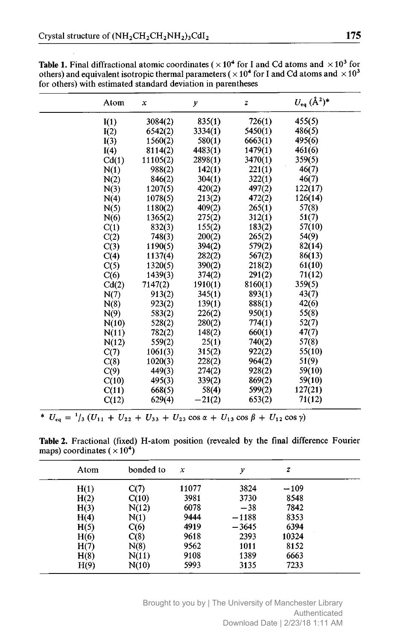| Atom  | x        | y        | z       | $U_{eq}$ $(\AA^2)^*$ |
|-------|----------|----------|---------|----------------------|
| I(1)  | 3084(2)  | 835(1)   | 726(1)  | 455(5)               |
| I(2)  | 6542(2)  | 3334(1)  | 5450(1) | 486(5)               |
| I(3)  | 1560(2)  | 580(1)   | 6663(1) | 495(6)               |
| I(4)  | 8114(2)  | 4483(1)  | 1479(1) | 461(6)               |
| Cd(1) | 11105(2) | 2898(1)  | 3470(1) | 359(5)               |
| N(1)  | 988(2)   | 142(1)   | 221(1)  | 46(7)                |
| N(2)  | 846(2)   | 304(1)   | 322(1)  | 46(7)                |
| N(3)  | 1207(5)  | 420(2)   | 497(2)  | 122(17)              |
| N(4)  | 1078(5)  | 213(2)   | 472(2)  | 126(14)              |
| N(5)  | 1180(2)  | 409(2)   | 265(1)  | 57(8)                |
| N(6)  | 1365(2)  | 275(2)   | 312(1)  | 51(7)                |
| C(1)  | 832(3)   | 155(2)   | 183(2)  | 57(10)               |
| C(2)  | 748(3)   | 200(2)   | 265(2)  | 54(9)                |
| C(3)  | 1190(5)  | 394(2)   | 579(2)  | 82(14)               |
| C(4)  | 1137(4)  | 282(2)   | 567(2)  | 86(13)               |
| C(5)  | 1320(5)  | 390(2)   | 218(2)  | 61(10)               |
| C(6)  | 1439(3)  | 374(2)   | 291(2)  | 71(12)               |
| Cd(2) | 7147(2)  | 1910(1)  | 8160(1) | 359(5)               |
| N(7)  | 913(2)   | 345(1)   | 893(1)  | 43(7)                |
| N(8)  | 923(2)   | 139(1)   | 888(1)  | 42(6)                |
| N(9)  | 583(2)   | 226(2)   | 950(1)  | 55(8)                |
| N(10) | 528(2)   | 280(2)   | 774(1)  | 52(7)                |
| N(11) | 782(2)   | 148(2)   | 660(1)  | 47(7)                |
| N(12) | 559(2)   | 25(1)    | 740(2)  | 57(8)                |
| C(7)  | 1061(3)  | 315(2)   | 922(2)  | 55(10)               |
| C(8)  | 1020(3)  | 228(2)   | 964(2)  | 51(9)                |
| C(9)  | 449(3)   | 274(2)   | 928(2)  | 59(10)               |
| C(10) | 495(3)   | 339(2)   | 869(2)  | 59(10)               |
| C(11) | 668(5)   | 58(4)    | 599(2)  | 127(21)              |
| C(12) | 629(4)   | $-21(2)$ | 653(2)  | 71(12)               |

**Table 1.** Final diffractional atomic coordinates ( $\times 10^4$  for I and Cd atoms and  $\times 10^3$  for others) and equivalent isotropic thermal parameters ( $\times 10^4$  for I and Cd atoms and  $\times 10^3$ for others) with estimated standard deviation in parentheses

 $\overline{U_{eq}} = \frac{1}{3} (U_{11} + U_{22} + U_{33} + U_{23} \cos \alpha + U_{13} \cos \beta + U_{12} \cos \gamma)$ 

Table 2. Fractional (fixed) H-atom position (revealed by the final difference Fourier maps) coordinates  $(\times 10^4)$ 

| Atom | bonded to | $\boldsymbol{x}$ | ν       | $\boldsymbol{z}$ |
|------|-----------|------------------|---------|------------------|
| H(1) | C(7)      | 11077            | 3824    | $-109$           |
| H(2) | C(10)     | 3981             | 3730    | 8548             |
| H(3) | N(12)     | 6078             | $-38$   | 7842             |
| H(4) | N(1)      | 9444             | $-1188$ | 8353             |
| H(5) | C(6)      | 4919             | $-3645$ | 6394             |
| H(6) | C(8)      | 9618             | 2393    | 10324            |
| H(7) | N(8)      | 9562             | 1011    | 8152             |
| H(8) | N(11)     | 9108             | 1389    | 6663             |
| H(9) | N(10)     | 5993             | 3135    | 7233             |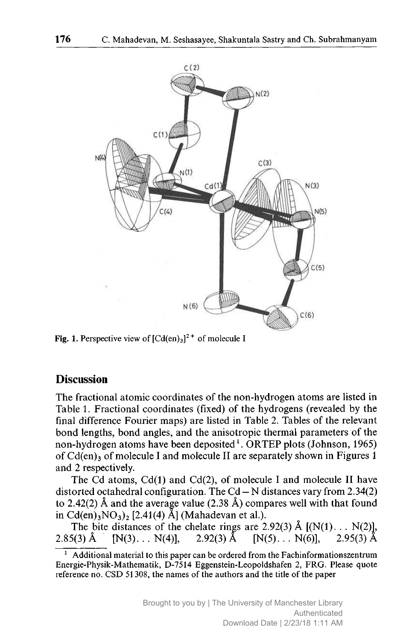

Fig. 1. Perspective view of  $[Cd(en)_3]^2$ <sup>+</sup> of molecule I

#### **Discussion**

The fractional atomic coordinates of the non-hydrogen atoms are listed in Table 1. Fractional coordinates (fixed) of the hydrogens (revealed by the final difference Fourier maps) are listed in Table 2. Tables of the relevant bond lengths, bond angles, and the anisotropic thermal parameters of the non-hydrogen atoms have been deposited<sup>1</sup>. ORTEP plots (Johnson, 1965) of  $Cd(en)_3$  of molecule I and molecule II are separately shown in Figures 1 and 2 respectively.

The Cd atoms,  $Cd(1)$  and  $Cd(2)$ , of molecule I and molecule II have distorted octahedral configuration. The C<sub>9</sub> $-$ N distances vary from 2.34(2) to 2.42(2) Å and the average value (2.38 Å) compares well with that found in Cd(en)<sub>3</sub>NO<sub>3</sub>)<sub>2</sub> [2.41(4) Å] (Mahadevan et al.).

The bite distances of the chelate rings are 2.92(3) Å  $[(N(1)...N(2)],$ . N(6)],  $2.95(3)$  Å  $2.85(3)$  Å  $[N(3), \ldots N(4)], \quad 2.92(3) \text{ Å} \quad [N(5), \ldots N(6)],$ 

 $<sup>1</sup>$  Additional material to this paper can be ordered from the Fachinformationszentrum</sup> Energie-Physik-Mathematik, D-7514 Eggenstein-Leopoldshafen 2, FRG. Please quote reference no. CSD 51308, the names of the authors and the title of the paper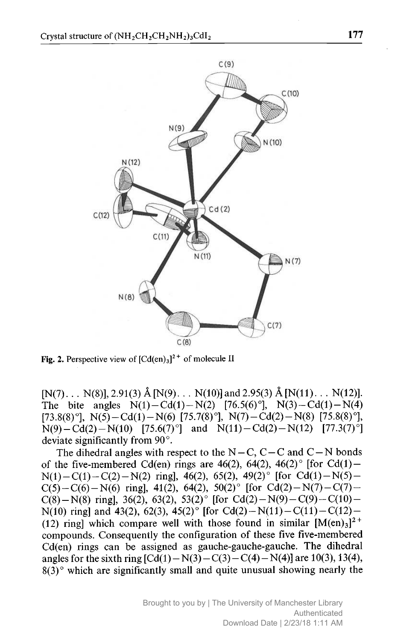

Fig. 2. Perspective view of  $[Cd(en)_3]^2$ <sup>+</sup> of molecule II

 $[N(7), \ldots N(8)], 2.91(3) \text{ Å}[N(9), \ldots N(10)] \text{ and } 2.95(3) \text{ Å}[N(11), \ldots N(12)].$ The bite angles  $N(1) - Cd(1) - N(2)$  [76.5(6)°],  $N(3) - Cd(1) - N(4)$ [73.8(8) $^{\circ}$ ], N(5)-Cd(1)-N(6) [75.7(8) $^{\circ}$ ], N(7)-Cd(2)-N(8) [75.8(8) $^{\circ}$ ],  $N(9) - Cd(2) - N(10)$  [75.6(7)<sup>o</sup>] and  $N(11) - Cd(2) - N(12)$  [77.3(7)<sup>o</sup>] deviate significantly from 90°.

The dihedral angles with respect to the N-C, C-C and C-N bonds<br> $\frac{1}{2}$  GM(x) since are  $\frac{4}{3}$  GM(x)  $\frac{4}{3}$  GM(x)  $\frac{4}{3}$  GM(x) of the five-membered Cd(en) rings are 46(2), 64(2), 46(2)° [for Cd(1) –  $N(1)-C(1)-C(2)-N(2)$  ring], 46(2), 65(2), 49(2)° [for Cd(1)-N(5)-C(5)-C(6)-N(6) ring], 41(2), 64(2), 50(2)° [for Cd(2)-N(7)-C(7)-C(8)-N(8) ring], 36(2), 63(2), 53(2)° [for Cd(2)-N(9)-C(9)-C(10)-N(10) ring] and 43(2), 62(3), 45(2)° [for Cd(2)-N(11)-C(11)-C(12)-(12) ring] which compare well with those found in similar  $[M(en)_3]^2$ <sup>+</sup> compounds. Consequently the configuration of these five five-membered Cd(en) rings can be assigned as gauche-gauche-gauche. The dihedral angles for the sixth ring  $\left[\text{Cd}(1) - \text{N}(3) - \text{C}(3) - \text{C}(4) - \text{N}(4)\right]$  are 10(3), 13(4),  $\frac{13(4)}{2(3)}$  which are significantly small and quite unusual showing nearly the  $8(3)$ ° which are significantly small and quite unusual showing nearly the